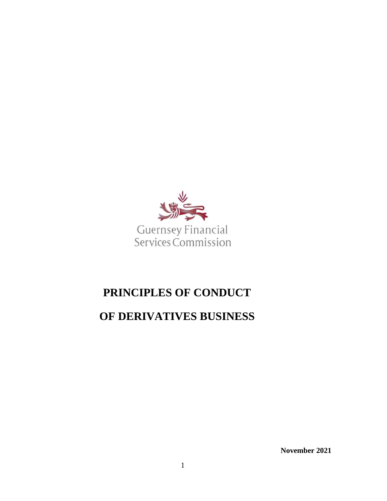

# **PRINCIPLES OF CONDUCT**

## **OF DERIVATIVES BUSINESS**

**November 2021**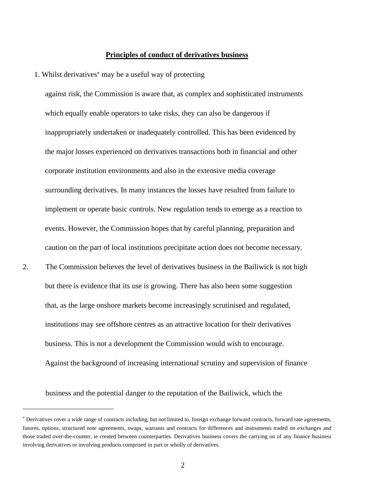#### **Principles of conduct of derivatives business**

1. Whilst derivatives<sup>\*</sup> may be a useful way of protecting

against risk, the Commission is aware that, as complex and sophisticated instruments which equally enable operators to take risks, they can also be dangerous if inappropriately undertaken or inadequately controlled. This has been evidenced by the major losses experienced on derivatives transactions both in financial and other corporate institution environments and also in the extensive media coverage surrounding derivatives. In many instances the losses have resulted from failure to implement or operate basic controls. New regulation tends to emerge as a reaction to events. However, the Commission hopes that by careful planning, preparation and caution on the part of local institutions precipitate action does not become necessary. 2. The Commission believes the level of derivatives business in the Bailiwick is not high but there is evidence that its use is growing. There has also been some suggestion

that, as the large onshore markets become increasingly scrutinised and regulated, institutions may see offshore centres as an attractive location for their derivatives business. This is not a development the Commission would wish to encourage. Against the background of increasing international scrutiny and supervision of finance

business and the potential danger to the reputation of the Bailiwick, which the

Derivatives cover a wide range of contracts including, but not limited to, foreign exchange forward contracts, forward rate agreements, futures, options, structured note agreements, swaps, warrants and contracts for differences and instruments traded on exchanges and those traded over-the-counter, ie created between counterparties. Derivatives business covers the carrying on of any finance business involving derivatives or involving products comprised in part or wholly of derivatives.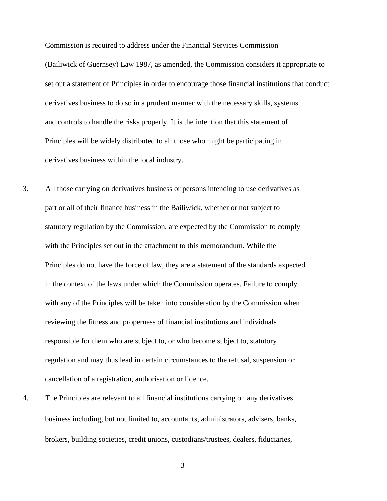Commission is required to address under the Financial Services Commission (Bailiwick of Guernsey) Law 1987, as amended, the Commission considers it appropriate to set out a statement of Principles in order to encourage those financial institutions that conduct derivatives business to do so in a prudent manner with the necessary skills, systems and controls to handle the risks properly. It is the intention that this statement of Principles will be widely distributed to all those who might be participating in derivatives business within the local industry.

- 3. All those carrying on derivatives business or persons intending to use derivatives as part or all of their finance business in the Bailiwick, whether or not subject to statutory regulation by the Commission, are expected by the Commission to comply with the Principles set out in the attachment to this memorandum. While the Principles do not have the force of law, they are a statement of the standards expected in the context of the laws under which the Commission operates. Failure to comply with any of the Principles will be taken into consideration by the Commission when reviewing the fitness and properness of financial institutions and individuals responsible for them who are subject to, or who become subject to, statutory regulation and may thus lead in certain circumstances to the refusal, suspension or cancellation of a registration, authorisation or licence.
- 4. The Principles are relevant to all financial institutions carrying on any derivatives business including, but not limited to, accountants, administrators, advisers, banks, brokers, building societies, credit unions, custodians/trustees, dealers, fiduciaries,

3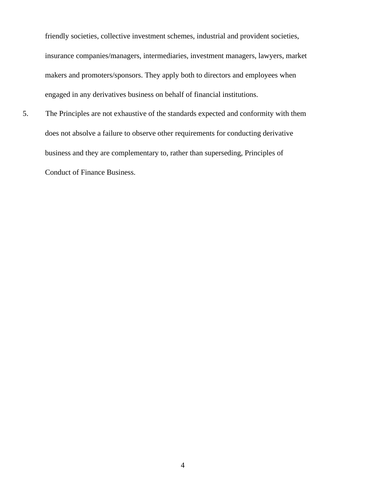friendly societies, collective investment schemes, industrial and provident societies, insurance companies/managers, intermediaries, investment managers, lawyers, market makers and promoters/sponsors. They apply both to directors and employees when engaged in any derivatives business on behalf of financial institutions.

5. The Principles are not exhaustive of the standards expected and conformity with them does not absolve a failure to observe other requirements for conducting derivative business and they are complementary to, rather than superseding, Principles of Conduct of Finance Business.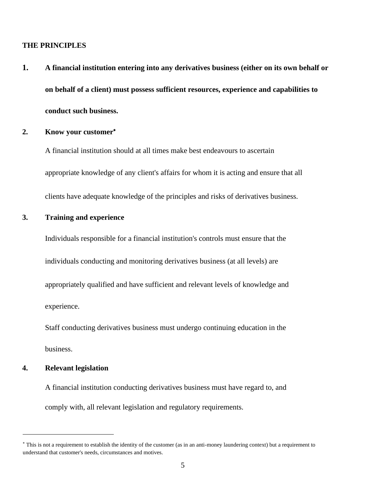### **THE PRINCIPLES**

**1. A financial institution entering into any derivatives business (either on its own behalf or on behalf of a client) must possess sufficient resources, experience and capabilities to conduct such business.** 

#### **2. Know your customer**

A financial institution should at all times make best endeavours to ascertain appropriate knowledge of any client's affairs for whom it is acting and ensure that all clients have adequate knowledge of the principles and risks of derivatives business.

## **3. Training and experience**

Individuals responsible for a financial institution's controls must ensure that the individuals conducting and monitoring derivatives business (at all levels) are appropriately qualified and have sufficient and relevant levels of knowledge and experience.

Staff conducting derivatives business must undergo continuing education in the business.

#### **4. Relevant legislation**

A financial institution conducting derivatives business must have regard to, and comply with, all relevant legislation and regulatory requirements.

This is not a requirement to establish the identity of the customer (as in an anti-money laundering context) but a requirement to understand that customer's needs, circumstances and motives.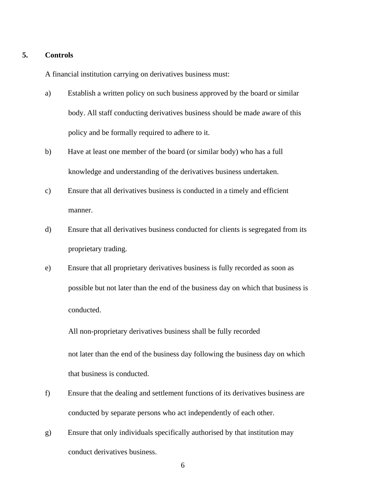#### **5. Controls**

A financial institution carrying on derivatives business must:

- a) Establish a written policy on such business approved by the board or similar body. All staff conducting derivatives business should be made aware of this policy and be formally required to adhere to it.
- b) Have at least one member of the board (or similar body) who has a full knowledge and understanding of the derivatives business undertaken.
- c) Ensure that all derivatives business is conducted in a timely and efficient manner.
- d) Ensure that all derivatives business conducted for clients is segregated from its proprietary trading.
- e) Ensure that all proprietary derivatives business is fully recorded as soon as possible but not later than the end of the business day on which that business is conducted.

All non-proprietary derivatives business shall be fully recorded

not later than the end of the business day following the business day on which that business is conducted.

- f) Ensure that the dealing and settlement functions of its derivatives business are conducted by separate persons who act independently of each other.
- g) Ensure that only individuals specifically authorised by that institution may conduct derivatives business.

6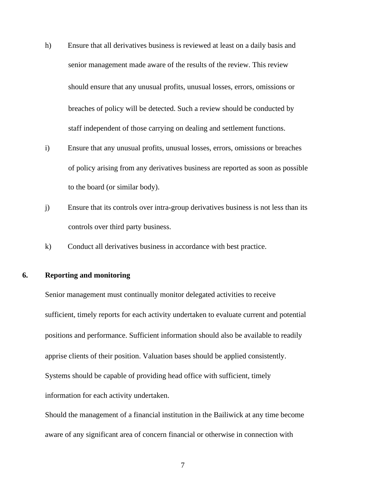- h) Ensure that all derivatives business is reviewed at least on a daily basis and senior management made aware of the results of the review. This review should ensure that any unusual profits, unusual losses, errors, omissions or breaches of policy will be detected. Such a review should be conducted by staff independent of those carrying on dealing and settlement functions.
- i) Ensure that any unusual profits, unusual losses, errors, omissions or breaches of policy arising from any derivatives business are reported as soon as possible to the board (or similar body).
- j) Ensure that its controls over intra-group derivatives business is not less than its controls over third party business.
- k) Conduct all derivatives business in accordance with best practice.

## **6. Reporting and monitoring**

Senior management must continually monitor delegated activities to receive sufficient, timely reports for each activity undertaken to evaluate current and potential positions and performance. Sufficient information should also be available to readily apprise clients of their position. Valuation bases should be applied consistently. Systems should be capable of providing head office with sufficient, timely information for each activity undertaken.

Should the management of a financial institution in the Bailiwick at any time become aware of any significant area of concern financial or otherwise in connection with